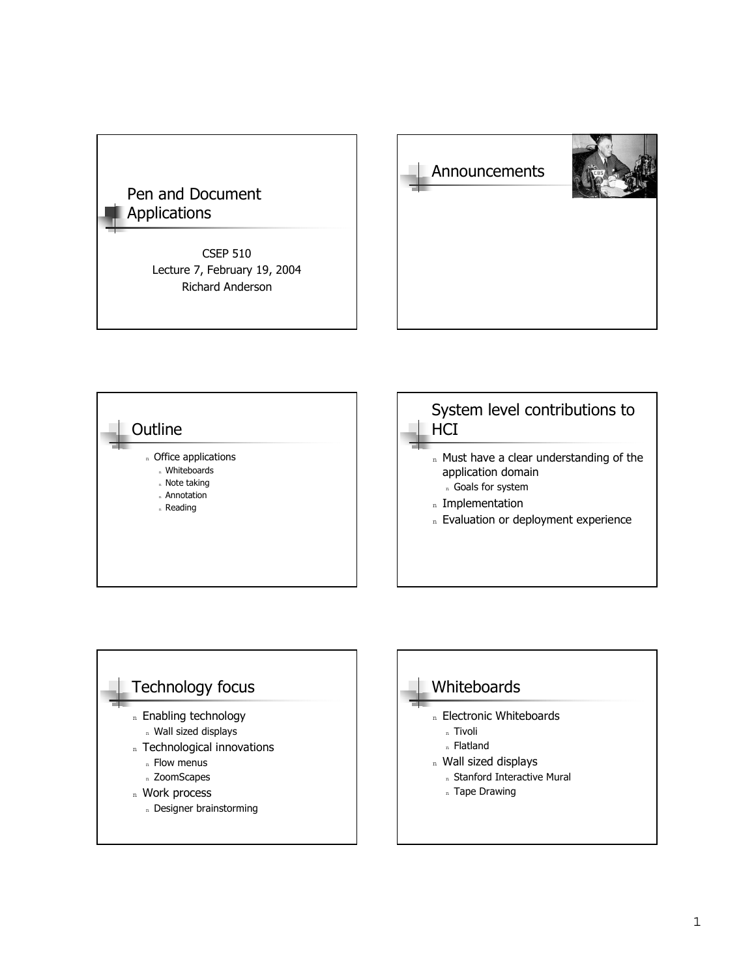### Pen and Document Applications

CSEP 510 Lecture 7, February 19, 2004 Richard Anderson







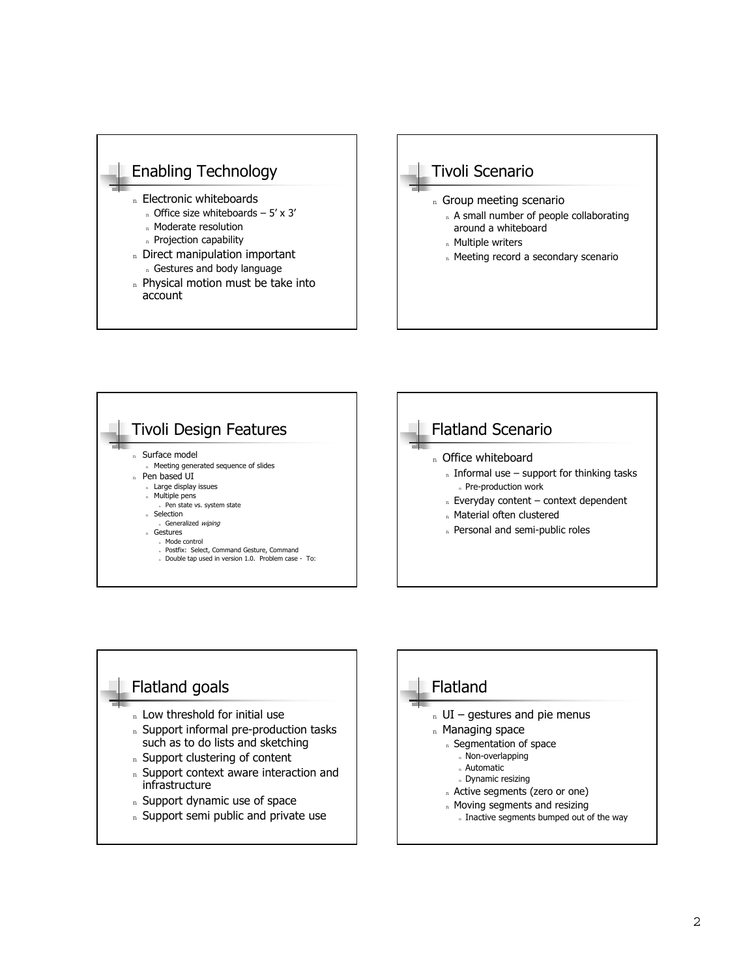







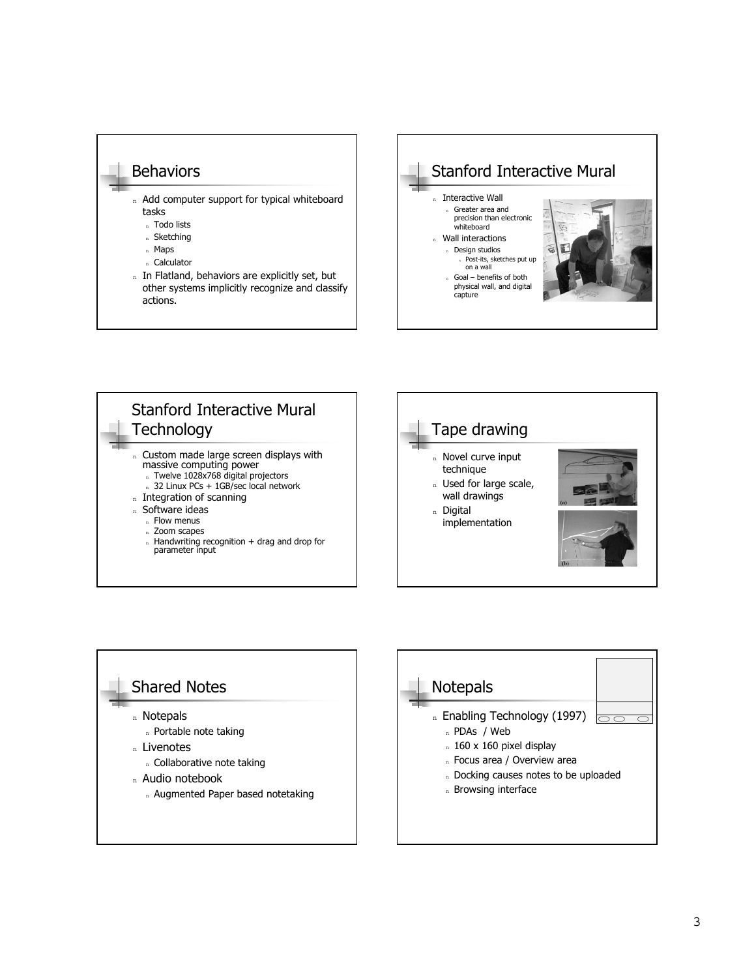#### **Behaviors**

- n Add computer support for typical whiteboard tasks
	- <sup>n</sup> Todo lists
	- <sup>n</sup> Sketching
	- <sup>n</sup> Maps
	- <sup>n</sup> Calculator
- n In Flatland, behaviors are explicitly set, but other systems implicitly recognize and classify actions.









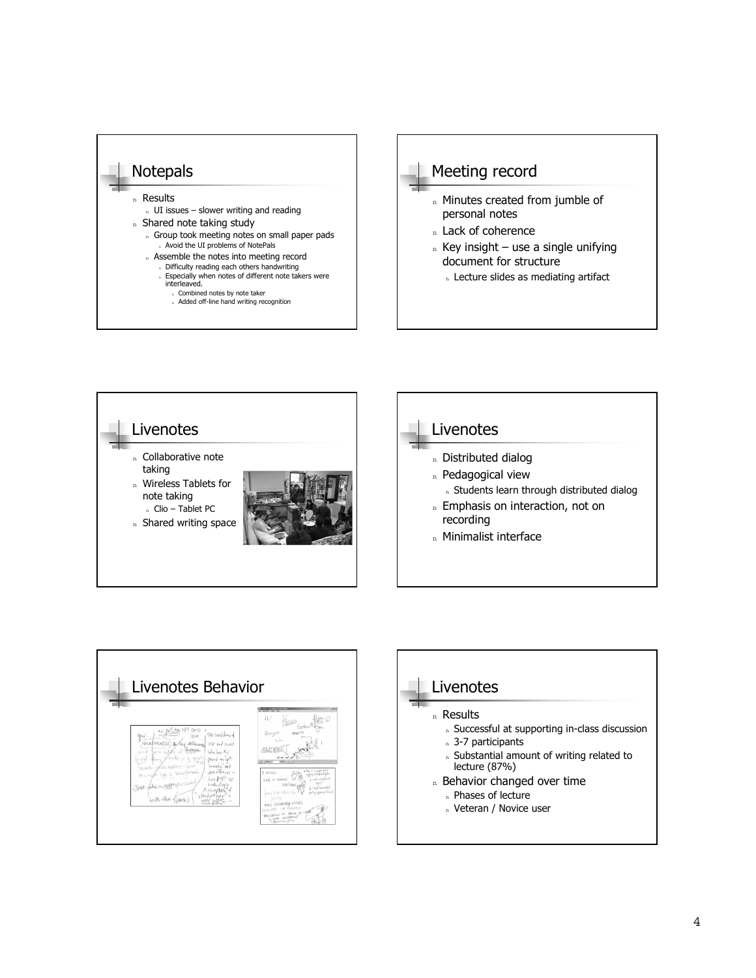







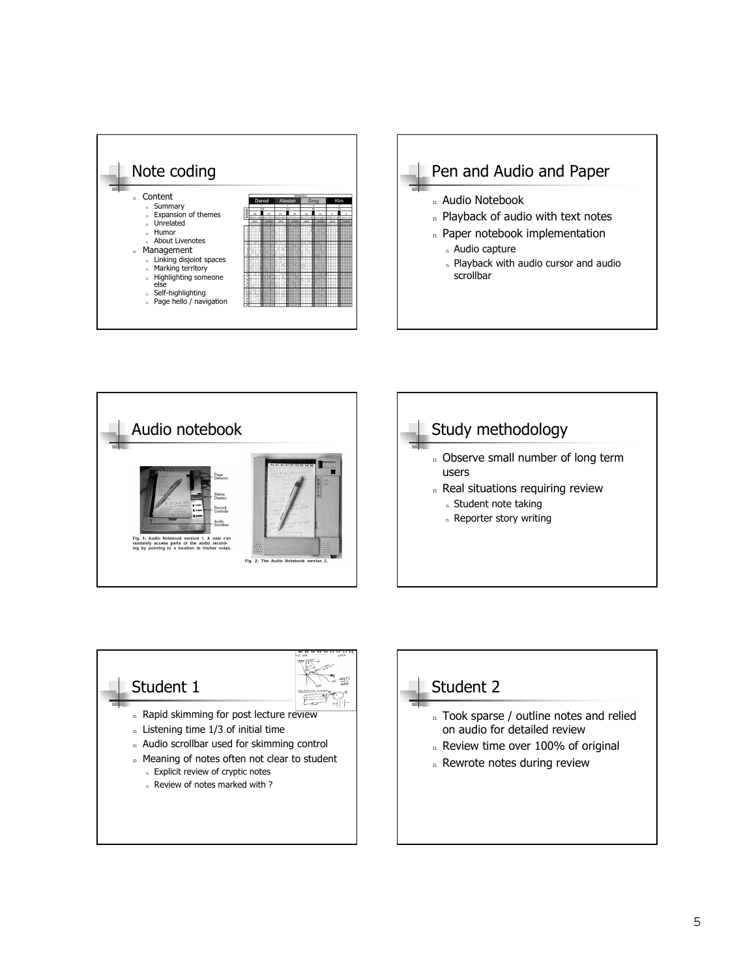







- n Real situations requiring review
	- n Student note taking
	- n Reporter story writing



#### Student 2

- n Took sparse / outline notes and relied on audio for detailed review
- n Review time over 100% of original
- n Rewrote notes during review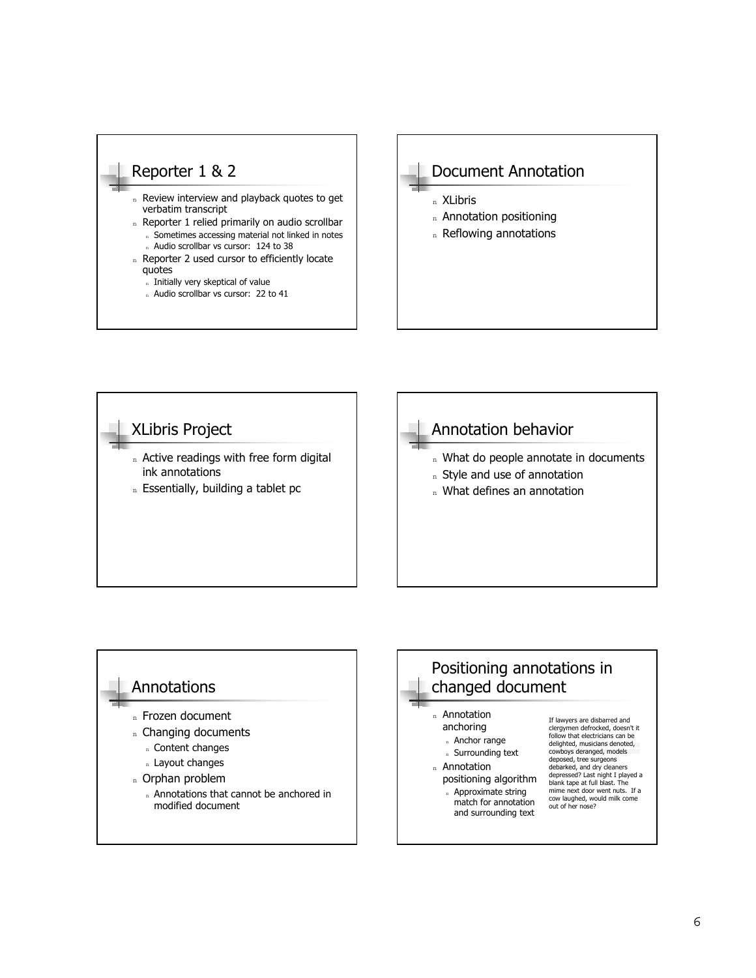#### Reporter 1 & 2

- n Review interview and playback quotes to get verbatim transcript
- n Reporter 1 relied primarily on audio scrollbar n Sometimes accessing material not linked in notes n Audio scrollbar vs cursor: 124 to 38
- n Reporter 2 used cursor to efficiently locate quotes
	- n Initially very skeptical of value
	- n Audio scrollbar vs cursor: 22 to 41

#### Document Annotation

- <sup>n</sup> XLibris
- n Annotation positioning
- n Reflowing annotations





## Positioning annotations in changed document

- <sup>n</sup> Annotation anchoring
	- n Anchor range
	- <sup>n</sup> Surrounding text
- <sup>n</sup> Annotation
	- positioning algorithm n Approximate string match for annotation
		- and surrounding text

If lawyers are disbarred and clergymen defrocked, doesn't it follow that electricians can be delighted, musicians denoted, cowboys deranged, models deposed, tree surgeons debarked, and dry cleaners depressed? Last night I played a blank tape at full blast. The mime next door went nuts. If a cow laughed, would milk come out of her nose?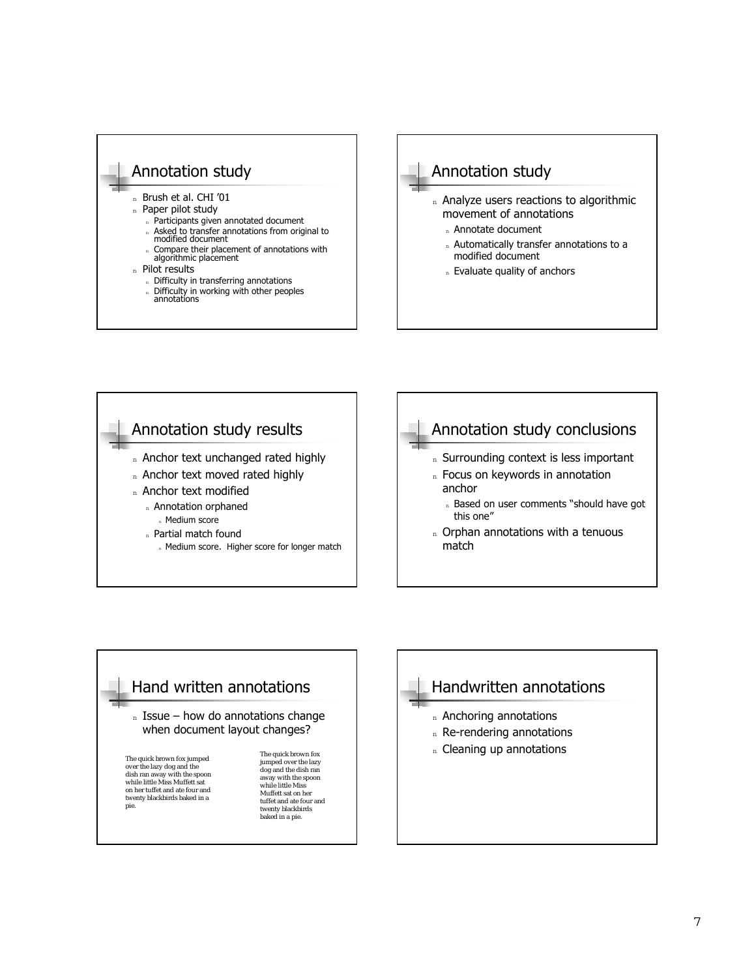#### Annotation study

n Brush et al. CHI '01

- n Paper pilot study
	- n Participants given annotated document
	- <sup>n</sup> Asked to transfer annotations from original to modified document
	- n Compare their placement of annotations with algorithmic placement
- <sup>n</sup> Pilot results
	- n Difficulty in transferring annotations
	- n Difficulty in working with other peoples<br>annotations

#### Annotation study n Analyze users reactions to algorithmic movement of annotations n Annotate document n Automatically transfer annotations to a modified document

n Evaluate quality of anchors



#### Hand written annotations  $n$  Issue – how do annotations change when document layout changes? The quick brown fox jumped over the lazy dog and the dish ran away with the spoon while little Miss Muffett sat on her tuffet and ate four and twenty blackbirds baked in a pie. The quick brown fox jumped over the lazy dog and the dish ran away with the spoon while little Miss Muffett sat on her tuffet and ate four and twenty blackbirds baked in a pie.

# Handwritten annotations n Anchoring annotations

- n Re-rendering annotations
- n Cleaning up annotations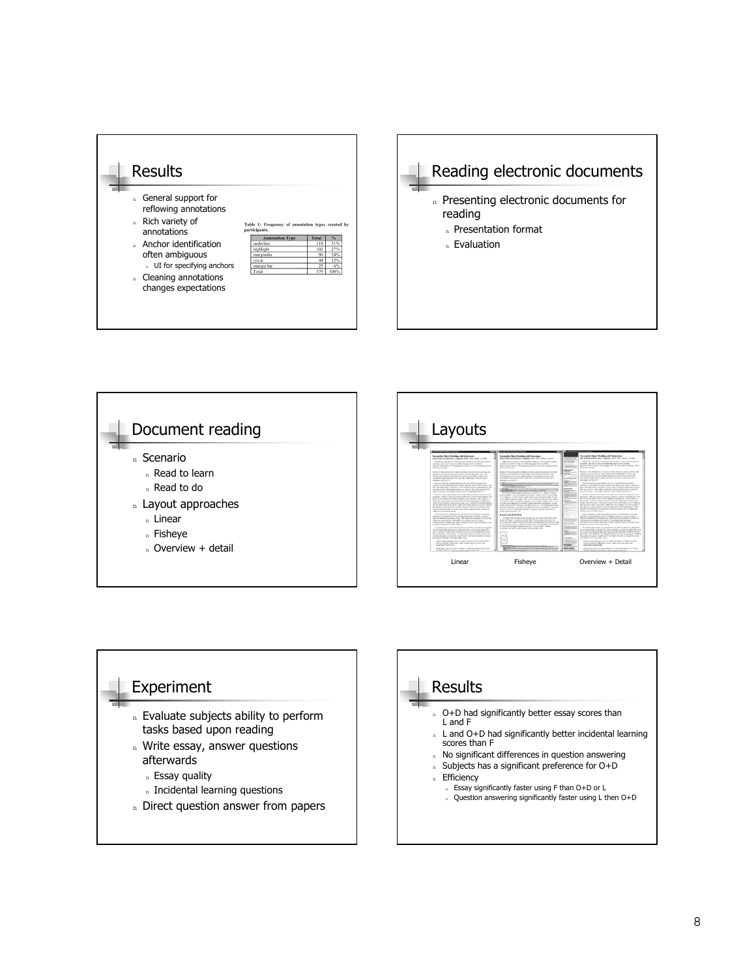







#### **Results** O+D had significantly better essay scores than L and F n L and O+D had significantly better incidental learning scores than F n No significant differences in question answering <sup>n</sup> Subjects has a significant preference for O+D Efficiency Essay significantly faster using F than O+D or L <sup>n</sup> Question answering significantly faster using L then O+D